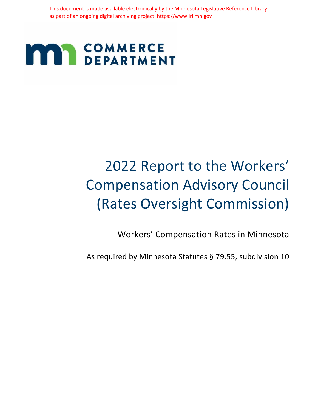This document is made available electronically by the Minnesota Legislative Reference Library as part of an ongoing digital archiving project. https://www.lrl.mn.gov

## **COMMERCE MAN COMMERCE**

# 2022 Report to the Workers' Compensation Advisory Council (Rates Oversight Commission)

Workers' Compensation Rates in Minnesota

As required by Minnesota Statutes § 79.55, subdivision 10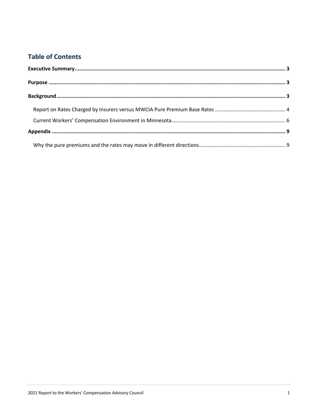## **Table of Contents**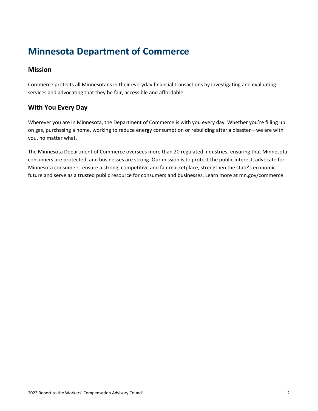## **Minnesota Department of Commerce**

#### **Mission**

Commerce protects all Minnesotans in their everyday financial transactions by investigating and evaluating services and advocating that they be fair, accessible and affordable.

### **With You Every Day**

Wherever you are in Minnesota, the Department of Commerce is with you every day. Whether you're filling up on gas, purchasing a home, working to reduce energy consumption or rebuilding after a disaster—we are with you, no matter what.

The Minnesota Department of Commerce oversees more than 20 regulated industries, ensuring that Minnesota consumers are protected, and businesses are strong. Our mission is to protect the public interest, advocate for Minnesota consumers, ensure a strong, competitive and fair marketplace, strengthen the state's economic future and serve as a trusted public resource for consumers and businesses. Learn more at mn.gov/commerce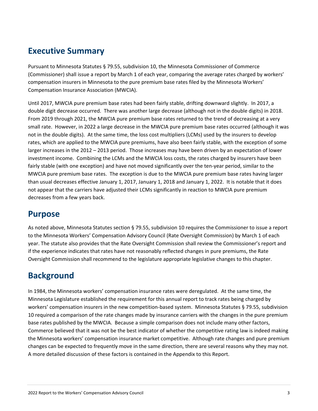## <span id="page-3-0"></span>**Executive Summary**

Pursuant to Minnesota Statutes § 79.55, subdivision 10, the Minnesota Commissioner of Commerce (Commissioner) shall issue a report by March 1 of each year, comparing the average rates charged by workers' compensation insurers in Minnesota to the pure premium base rates filed by the Minnesota Workers' Compensation Insurance Association (MWCIA).

Until 2017, MWCIA pure premium base rates had been fairly stable, drifting downward slightly. In 2017, a double digit decrease occurred. There was another large decrease (although not in the double digits) in 2018. From 2019 through 2021, the MWCIA pure premium base rates returned to the trend of decreasing at a very small rate. However, in 2022 a large decrease in the MWCIA pure premium base rates occurred (although it was not in the double digits). At the same time, the loss cost multipliers (LCMs) used by the insurers to develop rates, which are applied to the MWCIA pure premiums, have also been fairly stable, with the exception of some larger increases in the 2012 – 2013 period. Those increases may have been driven by an expectation of lower investment income. Combining the LCMs and the MWCIA loss costs, the rates charged by insurers have been fairly stable (with one exception) and have not moved significantly over the ten-year period, similar to the MWCIA pure premium base rates. The exception is due to the MWCIA pure premium base rates having larger than usual decreases effective January 1, 2017, January 1, 2018 and January 1, 2022. It is notable that it does not appear that the carriers have adjusted their LCMs significantly in reaction to MWCIA pure premium decreases from a few years back.

## <span id="page-3-1"></span>**Purpose**

As noted above, Minnesota Statutes section § 79.55, subdivision 10 requires the Commissioner to issue a report to the Minnesota Workers' Compensation Advisory Council (Rate Oversight Commission) by March 1 of each year. The statute also provides that the Rate Oversight Commission shall review the Commissioner's report and if the experience indicates that rates have not reasonably reflected changes in pure premiums, the Rate Oversight Commission shall recommend to the legislature appropriate legislative changes to this chapter.

## <span id="page-3-2"></span>**Background**

In 1984, the Minnesota workers' compensation insurance rates were deregulated. At the same time, the Minnesota Legislature established the requirement for this annual report to track rates being charged by workers' compensation insurers in the new competition-based system. Minnesota Statutes § 79.55, subdivision 10 required a comparison of the rate changes made by insurance carriers with the changes in the pure premium base rates published by the MWCIA. Because a simple comparison does not include many other factors, Commerce believed that it was not be the best indicator of whether the competitive rating law is indeed making the Minnesota workers' compensation insurance market competitive. Although rate changes and pure premium changes can be expected to frequently move in the same direction, there are several reasons why they may not. A more detailed discussion of these factors is contained in the Appendix to this Report.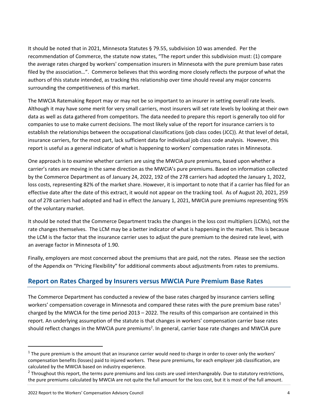It should be noted that in 2021, Minnesota Statutes § 79.55, subdivision 10 was amended. Per the recommendation of Commerce, the statute now states, "The report under this subdivision must: (1) compare the average rates charged by workers' compensation insurers in Minnesota with the pure premium base rates filed by the association…". Commerce believes that this wording more closely reflects the purpose of what the authors of this statute intended, as tracking this relationship over time should reveal any major concerns surrounding the competitiveness of this market.

The MWCIA Ratemaking Report may or may not be so important to an insurer in setting overall rate levels. Although it may have some merit for very small carriers, most insurers will set rate levels by looking at their own data as well as data gathered from competitors. The data needed to prepare this report is generally too old for companies to use to make current decisions. The most likely value of the report for insurance carriers is to establish the relationships between the occupational classifications (job class codes (JCC)). At that level of detail, insurance carriers, for the most part, lack sufficient data for individual job class code analysis. However, this report is useful as a general indicator of what is happening to workers' compensation rates in Minnesota.

One approach is to examine whether carriers are using the MWCIA pure premiums, based upon whether a carrier's rates are moving in the same direction as the MWCIA's pure premiums. Based on information collected by the Commerce Department as of January 24, 2022, 192 of the 278 carriers had adopted the January 1, 2022, loss costs, representing 82% of the market share. However, it is important to note that if a carrier has filed for an effective date after the date of this extract, it would not appear on the tracking tool. As of August 20, 2021, 259 out of 278 carriers had adopted and had in effect the January 1, 2021, MWCIA pure premiums representing 95% of the voluntary market.

It should be noted that the Commerce Department tracks the changes in the loss cost multipliers (LCMs), not the rate changes themselves. The LCM may be a better indicator of what is happening in the market. This is because the LCM is the factor that the insurance carrier uses to adjust the pure premium to the desired rate level, with an average factor in Minnesota of 1.90.

Finally, employers are most concerned about the premiums that are paid, not the rates. Please see the section of the Appendix on "Pricing Flexibility" for additional comments about adjustments from rates to premiums.

#### <span id="page-4-0"></span>**Report on Rates Charged by Insurers versus MWCIA Pure Premium Base Rates**

The Commerce Department has conducted a review of the base rates charged by insurance carriers selling workers' compensation coverage in Minnesota and compared these rates with the pure premium base rates<sup>1</sup> charged by the MWCIA for the time period 2013 – 2022. The results of this comparison are contained in this report. An underlying assumption of the statute is that changes in workers' compensation carrier base rates should reflect changes in the MWCIA pure premiums<sup>2</sup>. In general, carrier base rate changes and MWCIA pure

 $1$  The pure premium is the amount that an insurance carrier would need to charge in order to cover only the workers' compensation benefits (losses) paid to injured workers. These pure premiums, for each employer job classification, are calculated by the MWCIA based on industry experience.

 $^2$  Throughout this report, the terms pure premiums and loss costs are used interchangeably. Due to statutory restrictions, the pure premiums calculated by MWCIA are not quite the full amount for the loss cost, but it is most of the full amount.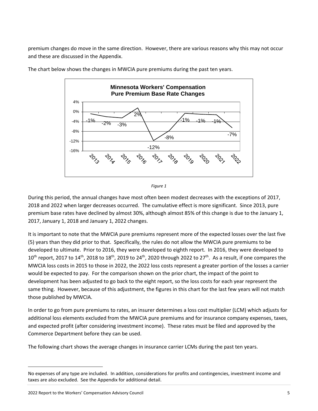premium changes do move in the same direction. However, there are various reasons why this may not occur and these are discussed in the Appendix.



The chart below shows the changes in MWCIA pure premiums during the past ten years.

During this period, the annual changes have most often been modest decreases with the exceptions of 2017, 2018 and 2022 when larger decreases occurred. The cumulative effect is more significant. Since 2013, pure premium base rates have declined by almost 30%, although almost 85% of this change is due to the January 1, 2017, January 1, 2018 and January 1, 2022 changes.

It is important to note that the MWCIA pure premiums represent more of the expected losses over the last five (5) years than they did prior to that. Specifically, the rules do not allow the MWCIA pure premiums to be developed to ultimate. Prior to 2016, they were developed to eighth report. In 2016, they were developed to  $10^{\text{th}}$  report, 2017 to  $14^{\text{th}}$ , 2018 to  $18^{\text{th}}$ , 2019 to 24<sup>th</sup>, 2020 through 2022 to 27<sup>th</sup>. As a result, if one compares the MWCIA loss costs in 2015 to those in 2022, the 2022 loss costs represent a greater portion of the losses a carrier would be expected to pay. For the comparison shown on the prior chart, the impact of the point to development has been adjusted to go back to the eight report, so the loss costs for each year represent the same thing. However, because of this adjustment, the figures in this chart for the last few years will not match those published by MWCIA.

In order to go from pure premiums to rates, an insurer determines a loss cost multiplier (LCM) which adjusts for additional loss elements excluded from the MWCIA pure premiums and for insurance company expenses, taxes, and expected profit (after considering investment income). These rates must be filed and approved by the Commerce Department before they can be used.

The following chart shows the average changes in insurance carrier LCMs during the past ten years.

*Figure 1*

No expenses of any type are included. In addition, considerations for profits and contingencies, investment income and taxes are also excluded. See the Appendix for additional detail.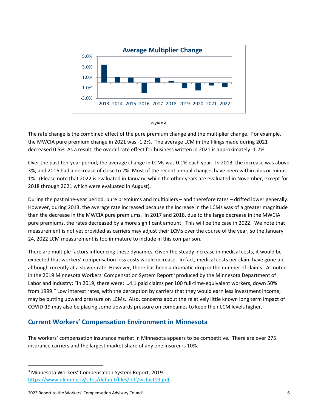



The rate change is the combined effect of the pure premium change and the multiplier change. For example, the MWCIA pure premium change in 2021 was -1.2%. The average LCM in the filings made during 2021 decreased 0.5%. As a result, the overall rate effect for business written in 2021 is approximately -1.7%.

Over the past ten-year period, the average change in LCMs was 0.1% each year. In 2013, the increase was above 3%, and 2016 had a decrease of close to 2%. Most of the recent annual changes have been within plus or minus 1%. (Please note that 2022 is evaluated in January, while the other years are evaluated in November, except for 2018 through 2021 which were evaluated in August).

During the past nine-year period, pure premiums and multipliers – and therefore rates – drifted lower generally. However, during 2013, the average rate increased because the increase in the LCMs was of a greater magnitude than the decrease in the MWCIA pure premiums. In 2017 and 2018, due to the large decrease in the MWCIA pure premiums, the rates decreased by a more significant amount. This will be the case in 2022. We note that measurement is not yet provided as carriers may adjust their LCMs over the course of the year, so the January 24, 2022 LCM measurement is too immature to include in this comparison.

There are multiple factors influencing these dynamics. Given the steady increase in medical costs, it would be expected that workers' compensation loss costs would increase. In fact, medical costs per claim have gone up, although recently at a slower rate. However, there has been a dramatic drop in the number of claims. As noted in the 2019 Minnesota Workers' Compensation System Report<sup>3</sup> produced by the Minnesota Department of Labor and Industry: "In 2019, there were: …4.1 paid claims per 100 full-time-equivalent workers, down 50% from 1999." Low interest rates, with the perception by carriers that they would earn less investment income, may be putting upward pressure on LCMs. Also, concerns about the relatively little known long term impact of COVID-19 may also be placing some upwards pressure on companies to keep their LCM levels higher.

#### <span id="page-6-0"></span>**Current Workers' Compensation Environment in Minnesota**

The workers' compensation insurance market in Minnesota appears to be competitive. There are over 275 insurance carriers and the largest market share of any one insurer is 10%.

<sup>3</sup> Minnesota Workers' Compensation System Report, 2019 <https://www.dli.mn.gov/sites/default/files/pdf/wcfact19.pdf>

<sup>2022</sup> Report to the Workers' Compensation Advisory Council 6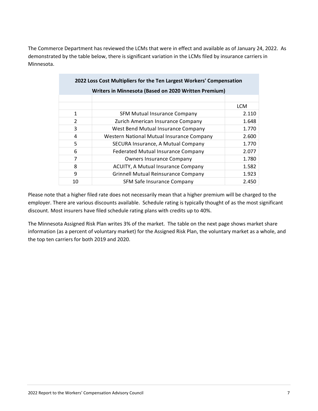The Commerce Department has reviewed the LCMs that were in effect and available as of January 24, 2022. As demonstrated by the table below, there is significant variation in the LCMs filed by insurance carriers in Minnesota.

| 2022 Loss Cost Multipliers for the Ten Largest Workers' Compensation |                                            |            |  |  |  |
|----------------------------------------------------------------------|--------------------------------------------|------------|--|--|--|
| Writers in Minnesota (Based on 2020 Written Premium)                 |                                            |            |  |  |  |
|                                                                      |                                            |            |  |  |  |
|                                                                      |                                            | <b>LCM</b> |  |  |  |
| $\mathbf{1}$                                                         | <b>SFM Mutual Insurance Company</b>        | 2.110      |  |  |  |
| $\overline{2}$                                                       | Zurich American Insurance Company          | 1.648      |  |  |  |
| 3                                                                    | West Bend Mutual Insurance Company         | 1.770      |  |  |  |
| 4                                                                    | Western National Mutual Insurance Company  | 2.600      |  |  |  |
| 5                                                                    | SECURA Insurance, A Mutual Company         | 1.770      |  |  |  |
| 6                                                                    | <b>Federated Mutual Insurance Company</b>  | 2.077      |  |  |  |
| 7                                                                    | <b>Owners Insurance Company</b>            | 1.780      |  |  |  |
| 8                                                                    | <b>ACUITY, A Mutual Insurance Company</b>  | 1.582      |  |  |  |
| 9                                                                    | <b>Grinnell Mutual Reinsurance Company</b> | 1.923      |  |  |  |
| 10                                                                   | SFM Safe Insurance Company                 | 2.450      |  |  |  |

Please note that a higher filed rate does not necessarily mean that a higher premium will be charged to the employer. There are various discounts available. Schedule rating is typically thought of as the most significant discount. Most insurers have filed schedule rating plans with credits up to 40%.

The Minnesota Assigned Risk Plan writes 3% of the market. The table on the next page shows market share information (as a percent of voluntary market) for the Assigned Risk Plan, the voluntary market as a whole, and the top ten carriers for both 2019 and 2020.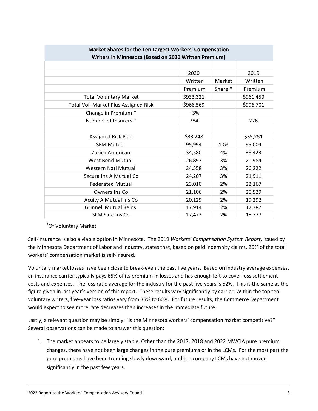| Market Shares for the Ten Largest Workers' Compensation<br>Writers in Minnesota (Based on 2020 Written Premium) |           |         |           |  |  |
|-----------------------------------------------------------------------------------------------------------------|-----------|---------|-----------|--|--|
|                                                                                                                 |           |         |           |  |  |
|                                                                                                                 | 2020      |         | 2019      |  |  |
|                                                                                                                 | Written   | Market  | Written   |  |  |
|                                                                                                                 | Premium   | Share * | Premium   |  |  |
| <b>Total Voluntary Market</b>                                                                                   | \$933,321 |         | \$961,450 |  |  |
| Total Vol. Market Plus Assigned Risk                                                                            | \$966,569 |         | \$996,701 |  |  |
| Change in Premium *                                                                                             | $-3%$     |         |           |  |  |
| Number of Insurers *                                                                                            | 284       |         | 276       |  |  |
|                                                                                                                 |           |         |           |  |  |
| Assigned Risk Plan                                                                                              | \$33,248  |         | \$35,251  |  |  |
| <b>SFM Mutual</b>                                                                                               | 95,994    | 10%     | 95,004    |  |  |
| Zurich American                                                                                                 | 34,580    | 4%      | 38,423    |  |  |
| <b>West Bend Mutual</b>                                                                                         | 26,897    | 3%      | 20,984    |  |  |
| Western Natl Mutual                                                                                             | 24,558    | 3%      | 26,222    |  |  |
| Secura Ins A Mutual Co                                                                                          | 24,207    | 3%      | 21,911    |  |  |
| <b>Federated Mutual</b>                                                                                         | 23,010    | 2%      | 22,167    |  |  |
| Owners Ins Co                                                                                                   | 21,106    | 2%      | 20,529    |  |  |
| Acuity A Mutual Ins Co                                                                                          | 20,129    | 2%      | 19,292    |  |  |
| <b>Grinnell Mutual Reins</b>                                                                                    | 17,914    | 2%      | 17,387    |  |  |
| SFM Safe Ins Co                                                                                                 | 17,473    | 2%      | 18,777    |  |  |

#### \*Of Voluntary Market

Self-insurance is also a viable option in Minnesota. The 2019 *Workers' Compensation System Report*, issued by the Minnesota Department of Labor and Industry, states that, based on paid indemnity claims, 26% of the total workers' compensation market is self-insured.

Voluntary market losses have been close to break-even the past five years. Based on industry average expenses, an insurance carrier typically pays 65% of its premium in losses and has enough left to cover loss settlement costs and expenses. The loss ratio average for the industry for the past five years is 52%. This is the same as the figure given in last year's version of this report. These results vary significantly by carrier. Within the top ten voluntary writers, five-year loss ratios vary from 35% to 60%. For future results, the Commerce Department would expect to see more rate decreases than increases in the immediate future.

Lastly, a relevant question may be simply: "Is the Minnesota workers' compensation market competitive?" Several observations can be made to answer this question:

1. The market appears to be largely stable. Other than the 2017, 2018 and 2022 MWCIA pure premium changes, there have not been large changes in the pure premiums or in the LCMs. For the most part the pure premiums have been trending slowly downward, and the company LCMs have not moved significantly in the past few years.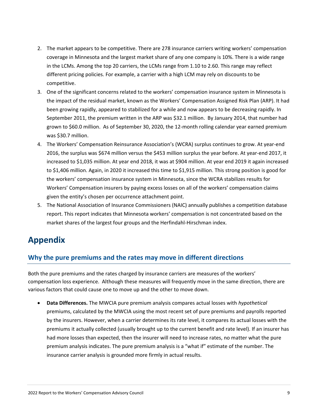- 2. The market appears to be competitive. There are 278 insurance carriers writing workers' compensation coverage in Minnesota and the largest market share of any one company is 10%. There is a wide range in the LCMs. Among the top 20 carriers, the LCMs range from 1.10 to 2.60. This range may reflect different pricing policies. For example, a carrier with a high LCM may rely on discounts to be competitive.
- 3. One of the significant concerns related to the workers' compensation insurance system in Minnesota is the impact of the residual market, known as the Workers' Compensation Assigned Risk Plan (ARP). It had been growing rapidly, appeared to stabilized for a while and now appears to be decreasing rapidly. In September 2011, the premium written in the ARP was \$32.1 million. By January 2014, that number had grown to \$60.0 million. As of September 30, 2020, the 12-month rolling calendar year earned premium was \$30.7 million.
- 4. The Workers' Compensation Reinsurance Association's (WCRA) surplus continues to grow. At year-end 2016, the surplus was \$674 million versus the \$453 million surplus the year before. At year-end 2017, it increased to \$1,035 million. At year end 2018, it was at \$904 million. At year end 2019 it again increased to \$1,406 million. Again, in 2020 it increased this time to \$1,915 million. This strong position is good for the workers' compensation insurance system in Minnesota, since the WCRA stabilizes results for Workers' Compensation insurers by paying excess losses on all of the workers' compensation claims given the entity's chosen per occurrence attachment point.
- 5. The National Association of Insurance Commissioners (NAIC) annually publishes a competition database report. This report indicates that Minnesota workers' compensation is not concentrated based on the market shares of the largest four groups and the Herfindahl-Hirschman index.

## <span id="page-9-0"></span>**Appendix**

#### <span id="page-9-1"></span>**Why the pure premiums and the rates may move in different directions**

Both the pure premiums and the rates charged by insurance carriers are measures of the workers' compensation loss experience. Although these measures will frequently move in the same direction, there are various factors that could cause one to move up and the other to move down.

• **Data Differences.** The MWCIA pure premium analysis compares actual losses with *hypothetical* premiums, calculated by the MWCIA using the most recent set of pure premiums and payrolls reported by the insurers. However, when a carrier determines its rate level, it compares its actual losses with the premiums it actually collected (usually brought up to the current benefit and rate level). If an insurer has had more losses than expected, then the insurer will need to increase rates, no matter what the pure premium analysis indicates. The pure premium analysis is a "what if" estimate of the number. The insurance carrier analysis is grounded more firmly in actual results.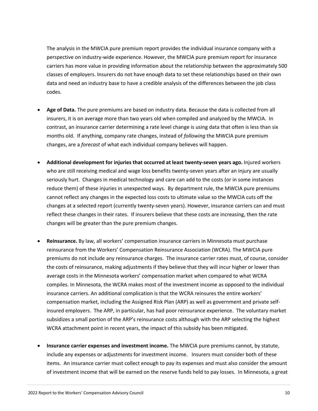The analysis in the MWCIA pure premium report provides the individual insurance company with a perspective on industry-wide experience. However, the MWCIA pure premium report for insurance carriers has more value in providing information about the relationship between the approximately 500 classes of employers. Insurers do not have enough data to set these relationships based on their own data and need an industry base to have a credible analysis of the differences between the job class codes.

- **Age of Data.** The pure premiums are based on industry data. Because the data is collected from all insurers, it is on average more than two years old when compiled and analyzed by the MWCIA. In contrast, an insurance carrier determining a rate level change is using data that often is less than six months old. If anything, company rate changes, instead of *following* the MWCIA pure premium changes, are a *forecast* of what each individual company believes will happen.
- **Additional development for injuries that occurred at least twenty-seven years ago.** Injured workers who are still receiving medical and wage loss benefits twenty-seven years after an injury are usually seriously hurt. Changes in medical technology and care can add to the costs (or in some instances reduce them) of these injuries in unexpected ways. By department rule, the MWCIA pure premiums cannot reflect any changes in the expected loss costs to ultimate value so the MWCIA cuts off the changes at a selected report (currently twenty-seven years). However, insurance carriers can and must reflect these changes in their rates. If insurers believe that these costs are increasing, then the rate changes will be greater than the pure premium changes.
- **Reinsurance.** By law, all workers' compensation insurance carriers in Minnesota must purchase reinsurance from the Workers' Compensation Reinsurance Association (WCRA). The MWCIA pure premiums do not include any reinsurance charges. The insurance carrier rates must, of course, consider the costs of reinsurance, making adjustments if they believe that they will incur higher or lower than average costs in the Minnesota workers' compensation market when compared to what WCRA compiles. In Minnesota, the WCRA makes most of the investment income as opposed to the individual insurance carriers. An additional complication is that the WCRA reinsures the entire workers' compensation market, including the Assigned Risk Plan (ARP) as well as government and private selfinsured employers. The ARP, in particular, has had poor reinsurance experience. The voluntary market subsidizes a small portion of the ARP's reinsurance costs although with the ARP selecting the highest WCRA attachment point in recent years, the impact of this subsidy has been mitigated.
- **Insurance carrier expenses and investment income.** The MWCIA pure premiums cannot, by statute, include any expenses or adjustments for investment income. Insurers must consider both of these items. An insurance carrier must collect enough to pay its expenses and must also consider the amount of investment income that will be earned on the reserve funds held to pay losses. In Minnesota, a great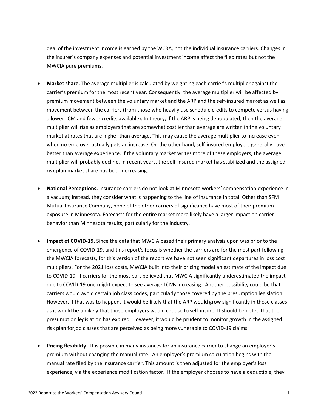deal of the investment income is earned by the WCRA, not the individual insurance carriers. Changes in the insurer's company expenses and potential investment income affect the filed rates but not the MWCIA pure premiums.

- **Market share.** The average multiplier is calculated by weighting each carrier's multiplier against the carrier's premium for the most recent year. Consequently, the average multiplier will be affected by premium movement between the voluntary market and the ARP and the self-insured market as well as movement between the carriers (from those who heavily use schedule credits to compete versus having a lower LCM and fewer credits available). In theory, if the ARP is being depopulated, then the average multiplier will rise as employers that are somewhat costlier than average are written in the voluntary market at rates that are higher than average. This may cause the average multiplier to increase even when no employer actually gets an increase. On the other hand, self-insured employers generally have better than average experience. If the voluntary market writes more of these employers, the average multiplier will probably decline. In recent years, the self-insured market has stabilized and the assigned risk plan market share has been decreasing.
- **National Perceptions.** Insurance carriers do not look at Minnesota workers' compensation experience in a vacuum; instead, they consider what is happening to the line of insurance in total. Other than SFM Mutual Insurance Company, none of the other carriers of significance have most of their premium exposure in Minnesota. Forecasts for the entire market more likely have a larger impact on carrier behavior than Minnesota results, particularly for the industry.
- **Impact of COVID-19.** Since the data that MWCIA based their primary analysis upon was prior to the emergence of COVID-19, and this report's focus is whether the carriers are for the most part following the MWCIA forecasts, for this version of the report we have not seen significant departures in loss cost multipliers. For the 2021 loss costs, MWCIA built into their pricing model an estimate of the impact due to COVID-19. If carriers for the most part believed that MWCIA significantly underestimated the impact due to COVID-19 one might expect to see average LCMs increasing. Another possibility could be that carriers would avoid certain job class codes, particularly those covered by the presumption legislation. However, if that was to happen, it would be likely that the ARP would grow significantly in those classes as it would be unlikely that those employers would choose to self-insure. It should be noted that the presumption legislation has expired. However, it would be prudent to monitor growth in the assigned risk plan forjob classes that are perceived as being more vunerable to COVID-19 claims.
- **Pricing flexibility.** It is possible in many instances for an insurance carrier to change an employer's premium without changing the manual rate. An employer's premium calculation begins with the manual rate filed by the insurance carrier. This amount is then adjusted for the employer's loss experience, via the experience modification factor. If the employer chooses to have a deductible, they